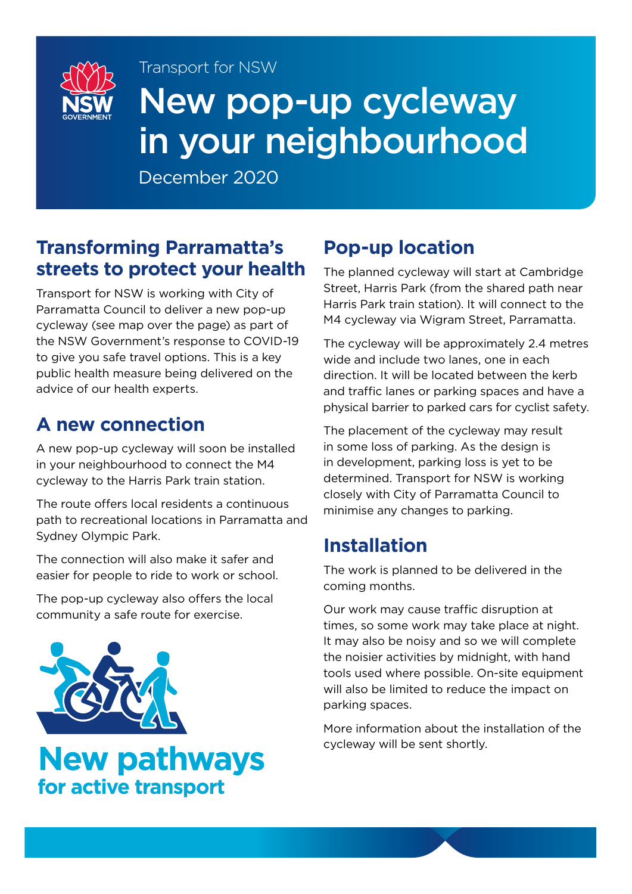

# New pop-up cycleway in your neighbourhood

December 2020

Transport for NSW

#### **Transforming Parramatta's streets to protect your health**

Transport for NSW is working with City of Parramatta Council to deliver a new pop-up cycleway (see map over the page) as part of the NSW Government's response to COVID-19 to give you safe travel options. This is a key public health measure being delivered on the advice of our health experts.

### **A new connection**

A new pop-up cycleway will soon be installed in your neighbourhood to connect the M4 cycleway to the Harris Park train station.

The route offers local residents a continuous path to recreational locations in Parramatta and Sydney Olympic Park.

The connection will also make it safer and easier for people to ride to work or school.

The pop-up cycleway also offers the local community a safe route for exercise.



## **New pathways** for active transport

### **Pop-up location**

The planned cycleway will start at Cambridge Street, Harris Park (from the shared path near Harris Park train station). It will connect to the M4 cycleway via Wigram Street, Parramatta.

The cycleway will be approximately 2.4 metres wide and include two lanes, one in each direction. It will be located between the kerb and traffic lanes or parking spaces and have a physical barrier to parked cars for cyclist safety.

The placement of the cycleway may result in some loss of parking. As the design is in development, parking loss is yet to be determined. Transport for NSW is working closely with City of Parramatta Council to minimise any changes to parking.

### **Installation**

The work is planned to be delivered in the coming months.

Our work may cause traffic disruption at times, so some work may take place at night. It may also be noisy and so we will complete the noisier activities by midnight, with hand tools used where possible. On-site equipment will also be limited to reduce the impact on parking spaces.

More information about the installation of the cycleway will be sent shortly.